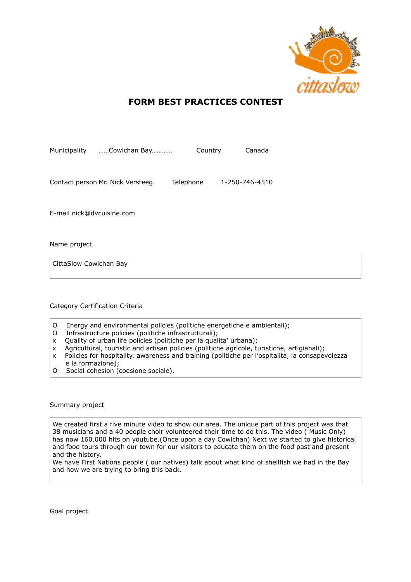

## **FORM BEST PRACTICES CONTEST**

| Municipality              | Cowichan Bay                      | Country   | Canada         |
|---------------------------|-----------------------------------|-----------|----------------|
|                           |                                   |           |                |
|                           |                                   |           |                |
|                           | Contact person Mr. Nick Versteeg. | Telephone | 1-250-746-4510 |
|                           |                                   |           |                |
|                           |                                   |           |                |
| E-mail nick@dvcuisine.com |                                   |           |                |

Name project

CittaSlow Cowichan Bay

## Category Certification Criteria

- O Energy and environmental policies (politiche energetiche e ambientali);
- O Infrastructure policies (politiche infrastrutturali);
- x Quality of urban life policies (politiche per la qualita' urbana);
- x Agricultural, touristic and artisan policies (politiche agricole, turistiche, artigianali);
- x Policies for hospitality, awareness and training (politiche per l'ospitalita, la consapevolezza e la formazione);
- O Social cohesion (coesione sociale).

Summary project

We created first a five minute video to show our area. The unique part of this project was that 38 musicians and a 40 people choir volunteered their time to do this. The video ( Music Only) has now 160.000 hits on youtube.(Once upon a day Cowichan) Next we started to give historical and food tours through our town for our visitors to educate them on the food past and present and the history.

We have First Nations people ( our natives) talk about what kind of shellfish we had in the Bay and how we are trying to bring this back.

Goal project